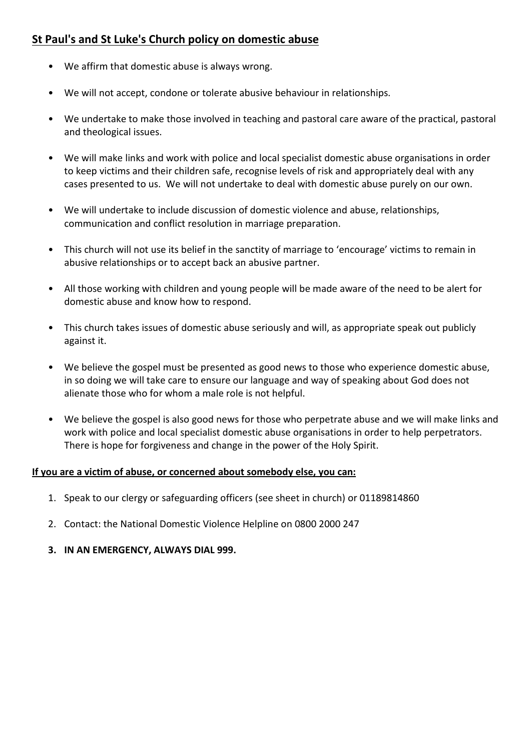## **St Paul's and St Luke's Church policy on domestic abuse**

- We affirm that domestic abuse is always wrong.
- We will not accept, condone or tolerate abusive behaviour in relationships.
- We undertake to make those involved in teaching and pastoral care aware of the practical, pastoral and theological issues.
- We will make links and work with police and local specialist domestic abuse organisations in order to keep victims and their children safe, recognise levels of risk and appropriately deal with any cases presented to us. We will not undertake to deal with domestic abuse purely on our own.
- We will undertake to include discussion of domestic violence and abuse, relationships, communication and conflict resolution in marriage preparation.
- This church will not use its belief in the sanctity of marriage to 'encourage' victims to remain in abusive relationships or to accept back an abusive partner.
- All those working with children and young people will be made aware of the need to be alert for domestic abuse and know how to respond.
- This church takes issues of domestic abuse seriously and will, as appropriate speak out publicly against it.
- We believe the gospel must be presented as good news to those who experience domestic abuse, in so doing we will take care to ensure our language and way of speaking about God does not alienate those who for whom a male role is not helpful.
- We believe the gospel is also good news for those who perpetrate abuse and we will make links and work with police and local specialist domestic abuse organisations in order to help perpetrators. There is hope for forgiveness and change in the power of the Holy Spirit.

### **If you are a victim of abuse, or concerned about somebody else, you can:**

- 1. Speak to our clergy or safeguarding officers (see sheet in church) or 01189814860
- 2. Contact: the National Domestic Violence Helpline on 0800 2000 247
- **3. IN AN EMERGENCY, ALWAYS DIAL 999.**